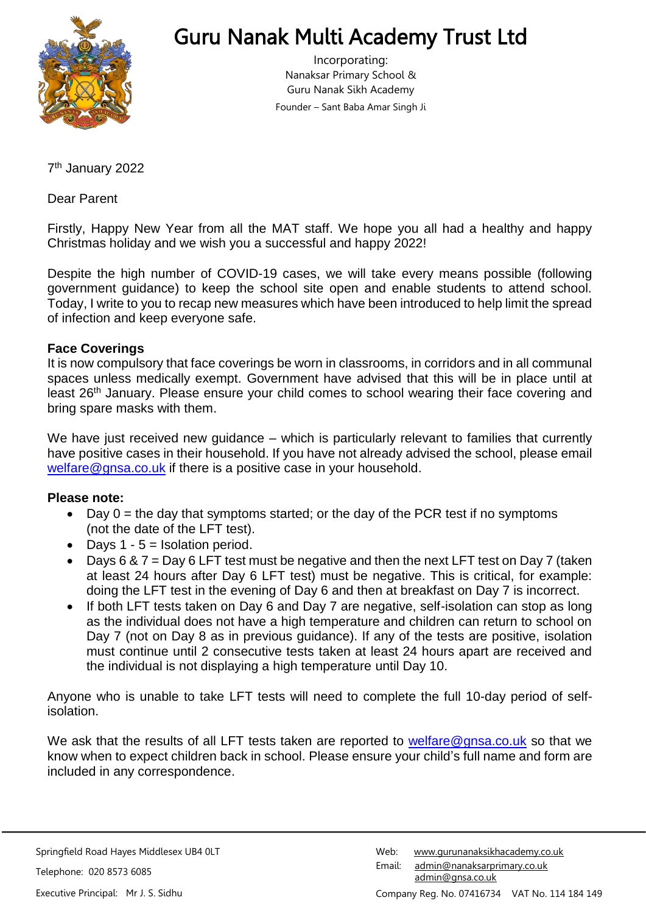

# Guru Nanak Multi Academy Trust Ltd

Incorporating: Nanaksar Primary School & Guru Nanak Sikh Academy Founder – Sant Baba Amar Singh Ji

7 th January 2022

Dear Parent

Firstly, Happy New Year from all the MAT staff. We hope you all had a healthy and happy Christmas holiday and we wish you a successful and happy 2022!

Despite the high number of COVID-19 cases, we will take every means possible (following government guidance) to keep the school site open and enable students to attend school. Today, I write to you to recap new measures which have been introduced to help limit the spread of infection and keep everyone safe.

### **Face Coverings**

It is now compulsory that face coverings be worn in classrooms, in corridors and in all communal spaces unless medically exempt. Government have advised that this will be in place until at least 26<sup>th</sup> January. Please ensure your child comes to school wearing their face covering and bring spare masks with them.

We have just received new guidance – which is particularly relevant to families that currently have positive cases in their household. If you have not already advised the school, please email [welfare@gnsa.co.uk](mailto:welfare@gnsa.co.uk) if there is a positive case in your household.

### **Please note:**

- Day  $0 =$  the day that symptoms started; or the day of the PCR test if no symptoms (not the date of the LFT test).
- Days  $1 5 =$  Isolation period.
- Days 6 & 7 = Day 6 LFT test must be negative and then the next LFT test on Day 7 (taken at least 24 hours after Day 6 LFT test) must be negative. This is critical, for example: doing the LFT test in the evening of Day 6 and then at breakfast on Day 7 is incorrect.
- If both LFT tests taken on Day 6 and Day 7 are negative, self-isolation can stop as long as the individual does not have a high temperature and children can return to school on Day 7 (not on Day 8 as in previous guidance). If any of the tests are positive, isolation must continue until 2 consecutive tests taken at least 24 hours apart are received and the individual is not displaying a high temperature until Day 10.

Anyone who is unable to take LFT tests will need to complete the full 10-day period of selfisolation.

We ask that the results of all LFT tests taken are reported to [welfare@gnsa.co.uk](mailto:welfare@gnsa.co.uk) so that we know when to expect children back in school. Please ensure your child's full name and form are included in any correspondence.